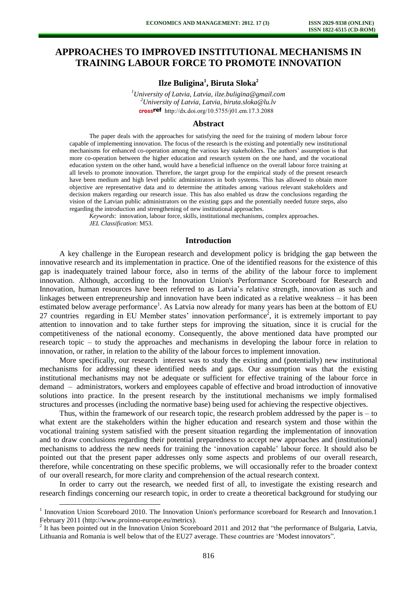# **APPROACHES TO IMPROVED INSTITUTIONAL MECHANISMS IN TRAINING LABOUR FORCE TO PROMOTE INNOVATION**

**Ilze Buligina<sup>1</sup> , Biruta Sloka<sup>2</sup>**

*<sup>1</sup>University of Latvia, Latvia, ilze.buligina@gmail.com <sup>2</sup>University of Latvia, Latvia, biruta.sloka@lu.lv*  crossref [http://dx.doi.org/10.5755/j01.e](http://dx.doi.org/10.5755/j01.em.17.3.2088)m.17.3.2088

#### **Abstract**

The paper deals with the approaches for satisfying the need for the training of modern labour force capable of implementing innovation. The focus of the research is the existing and potentially new institutional mechanisms for enhanced co-operation among the various key stakeholders. The authors' assumption is that more co-operation between the higher education and research system on the one hand, and the vocational education system on the other hand, would have a beneficial influence on the overall labour force training at all levels to promote innovation. Therefore, the target group for the empirical study of the present research have been medium and high level public administrators in both systems. This has allowed to obtain more objective are representative data and to determine the attitudes among various relevant stakeholders and decision makers regarding our research issue. This has also enabled us draw the conclusions regarding the vision of the Latvian public administrators on the existing gaps and the potentially needed future steps, also regarding the introduction and strengthening of new institutional approaches.

*Keywords*: innovation, labour force, skills, institutional mechanisms, complex approaches. *JEL Classification*: M53.

### **Introduction**

A key challenge in the European research and development policy is bridging the gap between the innovative research and its implementation in practice. One of the identified reasons for the existence of this gap is inadequately trained labour force, also in terms of the ability of the labour force to implement innovation. Although, according to the Innovation Union's Performance Scoreboard for Research and Innovation, human resources have been referred to as Latvia's relative strength, innovation as such and linkages between entrepreneurship and innovation have been indicated as a relative weakness – it has been estimated below average performance<sup>1</sup>. As Latvia now already for many years has been at the bottom of EU 27 countries regarding in EU Member states' innovation performance<sup>2</sup>, it is extremely important to pay attention to innovation and to take further steps for improving the situation, since it is crucial for the competitiveness of the national economy. Consequently, the above mentioned data have prompted our research topic – to study the approaches and mechanisms in developing the labour force in relation to innovation, or rather, in relation to the ability of the labour forces to implement innovation.

More specifically, our research interest was to study the existing and (potentially) new institutional mechanisms for addressing these identified needs and gaps. Our assumption was that the existing institutional mechanisms may not be adequate or sufficient for effective training of the labour force in demand – administrators, workers and employees capable of effective and broad introduction of innovative solutions into practice. In the present research by the institutional mechanisms we imply formalised structures and processes (including the normative base) being used for achieving the respective objectives.

Thus, within the framework of our research topic, the research problem addressed by the paper is  $-$  to what extent are the stakeholders within the higher education and research system and those within the vocational training system satisfied with the present situation regarding the implementation of innovation and to draw conclusions regarding their potential preparedness to accept new approaches and (institutional) mechanisms to address the new needs for training the 'innovation capable' labour force. It should also be pointed out that the present paper addresses only some aspects and problems of our overall research, therefore, while concentrating on these specific problems, we will occasionally refer to the broader context of our overall research, for more clarity and comprehension of the actual research context.

In order to carry out the research, we needed first of all, to investigate the existing research and research findings concerning our research topic, in order to create a theoretical background for studying our

l

<sup>&</sup>lt;sup>1</sup> Innovation Union Scoreboard 2010. The Innovation Union's performance scoreboard for Research and Innovation.1 February 2011 [\(http://www.proinno-europe.eu/metrics\)](http://www.proinno-europe.eu/metrics).

 $2$  It has been pointed out in the Innovation Union Scoreboard 2011 and 2012 that "the performance of Bulgaria, Latvia, Lithuania and Romania is well below that of the EU27 average. These countries are 'Modest innovators".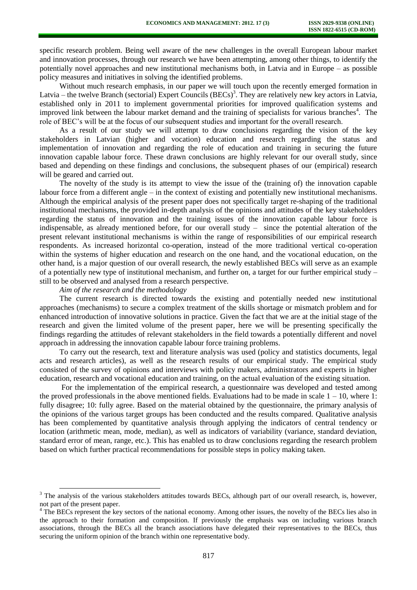specific research problem. Being well aware of the new challenges in the overall European labour market and innovation processes, through our research we have been attempting, among other things, to identify the potentially novel approaches and new institutional mechanisms both, in Latvia and in Europe – as possible policy measures and initiatives in solving the identified problems.

Without much research emphasis, in our paper we will touch upon the recently emerged formation in Latvia – the twelve Branch (sectorial) Expert Councils (BECs)<sup>3</sup>. They are relatively new key actors in Latvia, established only in 2011 to implement governmental priorities for improved qualification systems and improved link between the labour market demand and the training of specialists for various branches<sup>4</sup>. The role of BEC's will be at the focus of our subsequent studies and important for the overall research.

As a result of our study we will attempt to draw conclusions regarding the vision of the key stakeholders in Latvian (higher and vocation) education and research regarding the status and implementation of innovation and regarding the role of education and training in securing the future innovation capable labour force. These drawn conclusions are highly relevant for our overall study, since based and depending on these findings and conclusions, the subsequent phases of our (empirical) research will be geared and carried out.

The novelty of the study is its attempt to view the issue of the (training of) the innovation capable labour force from a different angle – in the context of existing and potentially new institutional mechanisms. Although the empirical analysis of the present paper does not specifically target re-shaping of the traditional institutional mechanisms, the provided in-depth analysis of the opinions and attitudes of the key stakeholders regarding the status of innovation and the training issues of the innovation capable labour force is indispensable, as already mentioned before, for our overall study – since the potential alteration of the present relevant institutional mechanisms is within the range of responsibilities of our empirical research respondents. As increased horizontal co-operation, instead of the more traditional vertical co-operation within the systems of higher education and research on the one hand, and the vocational education, on the other hand, is a major question of our overall research, the newly established BECs will serve as an example of a potentially new type of institutional mechanism, and further on, a target for our further empirical study – still to be observed and analysed from a research perspective.

#### *Aim of the research and the methodology*

l

The current research is directed towards the existing and potentially needed new institutional approaches (mechanisms) to secure a complex treatment of the skills shortage or mismatch problem and for enhanced introduction of innovative solutions in practice. Given the fact that we are at the initial stage of the research and given the limited volume of the present paper, here we will be presenting specifically the findings regarding the attitudes of relevant stakeholders in the field towards a potentially different and novel approach in addressing the innovation capable labour force training problems.

To carry out the research, text and literature analysis was used (policy and statistics documents, legal acts and research articles), as well as the research results of our empirical study. The empirical study consisted of the survey of opinions and interviews with policy makers, administrators and experts in higher education, research and vocational education and training, on the actual evaluation of the existing situation.

For the implementation of the empirical research, a questionnaire was developed and tested among the proved professionals in the above mentioned fields. Evaluations had to be made in scale  $1 - 10$ , where 1: fully disagree; 10: fully agree. Based on the material obtained by the questionnaire, the primary analysis of the opinions of the various target groups has been conducted and the results compared. Qualitative analysis has been complemented by quantitative analysis through applying the indicators of central tendency or location (arithmetic mean, mode, median), as well as indicators of variability (variance, standard deviation, standard error of mean, range, etc.). This has enabled us to draw conclusions regarding the research problem based on which further practical recommendations for possible steps in policy making taken.

<sup>&</sup>lt;sup>3</sup> The analysis of the various stakeholders attitudes towards BECs, although part of our overall research, is, however, not part of the present paper.

<sup>&</sup>lt;sup>4</sup> The BECs represent the key sectors of the national economy. Among other issues, the novelty of the BECs lies also in the approach to their formation and composition. If previously the emphasis was on including various branch associations, through the BECs all the branch associations have delegated their representatives to the BECs, thus securing the uniform opinion of the branch within one representative body.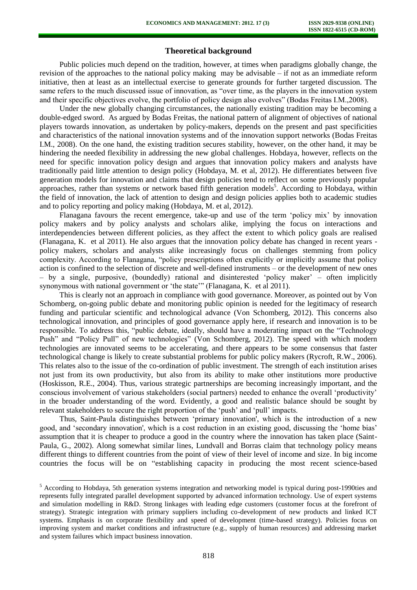# **Theoretical background**

Public policies much depend on the tradition, however, at times when paradigms globally change, the revision of the approaches to the national policy making may be advisable – if not as an immediate reform initiative, then at least as an intellectual exercise to generate grounds for further targeted discussion. The same refers to the much discussed issue of innovation, as "over time, as the players in the innovation system and their specific objectives evolve, the portfolio of policy design also evolves" (Bodas Freitas I.M.,2008).

Under the new globally changing circumstances, the nationally existing tradition may be becoming a double-edged sword. As argued by Bodas Freitas, the national pattern of alignment of objectives of national players towards innovation, as undertaken by policy-makers, depends on the present and past specificities and characteristics of the national innovation systems and of the innovation support networks (Bodas Freitas I.M., 2008). On the one hand, the existing tradition secures stability, however, on the other hand, it may be hindering the needed flexibility in addressing the new global challenges. Hobda[ya,](http://datubazes.lanet.lv:2052/science/article/pii/S0166497211001696#aff1) however, reflects on the need for specific innovation policy design and argues that innovation policy makers and analysts have traditionally paid little attention to design policy (Hobda[ya,](http://datubazes.lanet.lv:2052/science/article/pii/S0166497211001696#aff1) M. et al, 2012). He differentiates between five generation models for innovation and claims that design policies tend to reflect on some previously popular approaches, rather than systems or network based fifth generation models<sup>5</sup>. According to Hobdaya, within the field of innovation, the lack of attention to design and design policies applies both to academic studies and to policy reporting and policy making (Hobda[ya,](http://datubazes.lanet.lv:2052/science/article/pii/S0166497211001696#aff1) M. et al, 2012).

Flanaga[na](http://datubazes.lanet.lv:2052/science/article/pii/S0048733311000345#aff0005) favours the recent emergence, take-up and use of the term 'policy mix' by innovation policy makers and by policy analysts and scholars alike, implying the focus on interactions and interdependencies between different policies, as they affect the extent to which policy goals are realised (Flanaga[na,](http://datubazes.lanet.lv:2052/science/article/pii/S0048733311000345#aff0005) K. et al 2011). He also argues that the innovation policy debate has changed in recent years policy makers, scholars and analysts alike increasingly focus on challenges stemming from policy complexity. According to Flanagana, "policy prescriptions often explicitly or implicitly assume that policy action is confined to the selection of discrete and well-defined instruments – or the development of new ones – by a single, purposive, (boundedly) rational and disinterested 'policy maker' – often implicitly synonymous with national government or 'the state'" (Flanaga[na,](http://datubazes.lanet.lv:2052/science/article/pii/S0048733311000345#aff0005) K. et al 2011).

This is clearly not an approach in compliance with good governance. Moreover, as pointed out by Von Schomberg, on-going public debate and monitoring public opinion is needed for the legitimacy of research funding and particular scientific and technological advance (Von Schomberg, 2012). This concerns also technological innovation, and principles of good governance apply here, if research and innovation is to be responsible. To address this, "public debate, ideally, should have a moderating impact on the "Technology Push" and "Policy Pull" of new technologies" (Von Schomberg, 2012). The speed with which modern technologies are innovated seems to be accelerating, and there appears to be some consensus that faster technological change is likely to create substantial problems for public policy makers (Rycroft, R.W., 2006). This relates also to the issue of the co-ordination of public investment. The strength of each institution arises not just from its own productivity, but also from its ability to make other institutions more productive (Hoskisson, R.E., 2004). Thus, various strategic partnerships are becoming increasingly important, and the conscious involvement of various stakeholders (social partners) needed to enhance the overall 'productivity' in the broader understanding of the word. Evidently, a good and realistic balance should be sought by relevant stakeholders to secure the right proportion of the 'push' and 'pull' impacts.

Thus, Saint-Paula distinguishes between 'primary innovation', which is the introduction of a new good, and 'secondary innovation', which is a cost reduction in an existing good, discussing the 'home bias' assumption that it is cheaper to produce a good in the country where the innovation has taken place (Saint-Pau[la,](http://datubazes.lanet.lv:2052/science/article/pii/S0014292101000939#AFF1) G., 2002). Along somewhat similar lines, Lundvall and Borras claim that technology policy means different things to different countries from the point of view of their level of income and size. In big income countries the focus will be on "establishing capacity in producing the most recent science-based

 $\overline{a}$ 

<sup>&</sup>lt;sup>5</sup> According to Hobda[ya,](http://datubazes.lanet.lv:2052/science/article/pii/S0166497211001696#aff1) 5th generation systems integration and networking model is typical during post-1990ties and represents fully integrated parallel development supported by advanced information technology. Use of expert systems and simulation modelling in R&D. Strong linkages with leading edge customers (customer focus at the forefront of strategy). Strategic integration with primary suppliers including co-development of new products and linked ICT systems. Emphasis is on corporate flexibility and speed of development (time-based strategy). Policies focus on improving system and market conditions and infrastructure (e.g., supply of human resources) and addressing market and system failures which impact business innovation.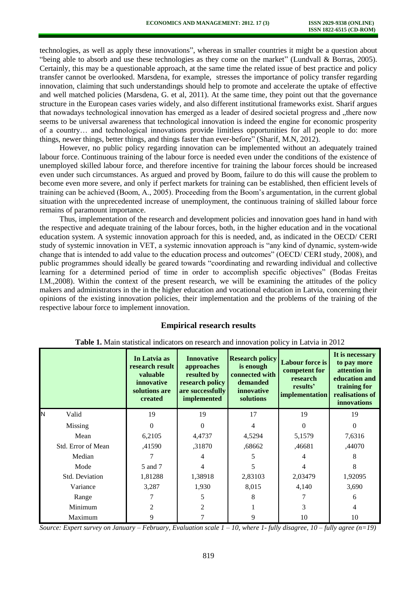technologies, as well as apply these innovations", whereas in smaller countries it might be a question about "being able to absorb and use these technologies as they come on the market" (Lundvall & Borras, 2005). Certainly, this may be a questionable approach, at the same time the related issue of best practice and policy transfer cannot be overlooked. Marsde[na,](http://datubazes.lanet.lv:2052/science/article/pii/S0967070X10001307#aff1) for example, stresses the importance of policy transfer regarding innovation, claiming that such understandings should help to promote and accelerate the uptake of effective and well matched policies (Marsde[na,](http://datubazes.lanet.lv:2052/science/article/pii/S0967070X10001307#aff1) G. et al, 2011). At the same time, they point out that the governance structure in the European cases varies widely, and also different institutional frameworks exist. Sharif argues that nowadays technological innovation has emerged as a leader of desired societal progress and "there now seems to be universal awareness that technological innovation is indeed the engine for economic prosperity of a country… and technological innovations provide limitless opportunities for all people to do: more things, newer things, better things, and things faster than ever-before" (Sharif, M.N, 2012).

However, no public policy regarding innovation can be implemented without an adequately trained labour force. Continuous training of the labour force is needed even under the conditions of the existence of unemployed skilled labour force, and therefore incentive for training the labour forces should be increased even under such circumstances. As argued and proved by Boom, failure to do this will cause the problem to become even more severe, and only if perfect markets for training can be established, then efficient levels of training can be achieved (Boom, A., 2005). Proceeding from the Boom's argumentation, in the current global situation with the unprecedented increase of unemployment, the continuous training of skilled labour force remains of paramount importance.

Thus, implementation of the research and development policies and innovation goes hand in hand with the respective and adequate training of the labour forces, both, in the higher education and in the vocational education system. A systemic innovation approach for this is needed, and, as indicated in the OECD/ CERI study of systemic innovation in VET, a systemic innovation approach is "any kind of dynamic, system-wide change that is intended to add value to the education process and outcomes" (OECD/ CERI study, 2008), and public programmes should ideally be geared towards "coordinating and rewarding individual and collective learning for a determined period of time in order to accomplish specific objectives" (Bodas Freitas I.M.,2008). Within the context of the present research, we will be examining the attitudes of the policy makers and administrators in the in the higher education and vocational education in Latvia, concerning their opinions of the existing innovation policies, their implementation and the problems of the training of the respective labour force to implement innovation.

# **Empirical research results**

|                    | In Latvia as<br>research result<br>valuable<br>innovative<br>solutions are<br>created | <b>Innovative</b><br>approaches<br>resulted by<br>research policy<br>are successfully<br>implemented | <b>Research policy</b><br>is enough<br>connected with<br>demanded<br><i>innovative</i><br>solutions | <b>Labour force is</b><br>competent for<br>research<br>results'<br>implementation | It is necessary<br>to pay more<br>attention in<br>education and<br>training for<br>realisations of<br>innovations |
|--------------------|---------------------------------------------------------------------------------------|------------------------------------------------------------------------------------------------------|-----------------------------------------------------------------------------------------------------|-----------------------------------------------------------------------------------|-------------------------------------------------------------------------------------------------------------------|
| N<br>Valid         | 19                                                                                    | 19                                                                                                   | 17                                                                                                  | 19                                                                                | 19                                                                                                                |
| Missing            | $\Omega$                                                                              | $\Omega$                                                                                             | 4                                                                                                   | 0                                                                                 | 0                                                                                                                 |
| Mean               | 6,2105                                                                                | 4,4737                                                                                               | 4,5294                                                                                              | 5,1579                                                                            | 7,6316                                                                                                            |
| Std. Error of Mean | ,41590                                                                                | ,31870                                                                                               | ,68662                                                                                              | ,46681                                                                            | ,44070                                                                                                            |
| Median             |                                                                                       |                                                                                                      |                                                                                                     | 4                                                                                 | 8                                                                                                                 |
| Mode               | 5 and 7                                                                               | 4                                                                                                    | 5                                                                                                   | 4                                                                                 | 8                                                                                                                 |
| Std. Deviation     | 1,81288                                                                               | 1,38918                                                                                              | 2,83103                                                                                             | 2,03479                                                                           | 1,92095                                                                                                           |
| Variance           | 3,287                                                                                 | 1,930                                                                                                | 8,015                                                                                               | 4,140                                                                             | 3,690                                                                                                             |
| Range              |                                                                                       | 5                                                                                                    | 8                                                                                                   |                                                                                   | 6                                                                                                                 |
| Minimum            | $\overline{2}$                                                                        | 2                                                                                                    |                                                                                                     | 3                                                                                 | 4                                                                                                                 |
| Maximum            | 9                                                                                     |                                                                                                      | 9                                                                                                   | 10                                                                                | 10                                                                                                                |

**Table 1.** Main statistical indicators on research and innovation policy in Latvia in 2012

*Source: Expert survey on January – February, Evaluation scale 1 – 10, where 1- fully disagree, 10 – fully agree (n=19)*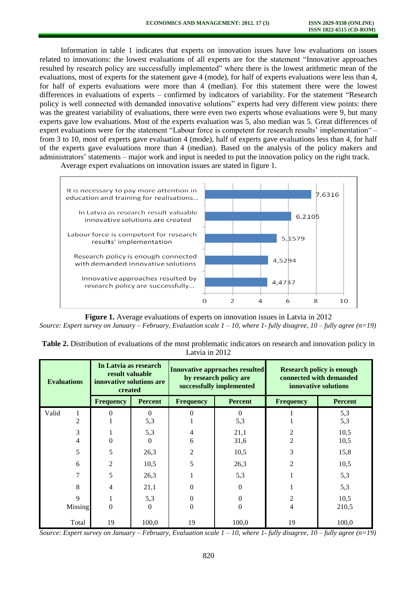Information in table 1 indicates that experts on innovation issues have low evaluations on issues related to innovations: the lowest evaluations of all experts are for the statement "Innovative approaches resulted by research policy are successfully implemented" where there is the lowest arithmetic mean of the evaluations, most of experts for the statement gave 4 (mode), for half of experts evaluations were less than 4, for half of experts evaluations were more than 4 (median). For this statement there were the lowest differences in evaluations of experts – confirmed by indicators of variability. For the statement "Research policy is well connected with demanded innovative solutions" experts had very different view points: there was the greatest variability of evaluations, there were even two experts whose evaluations were 9, but many experts gave low evaluations. Most of the experts evaluation was 5, also median was 5. Great differences of expert evaluations were for the statement "Labour force is competent for research results' implementation" – from 3 to 10, most of experts gave evaluation 4 (mode), half of experts gave evaluations less than 4, for half of the experts gave evaluations more than 4 (median). Based on the analysis of the policy makers and administrators' statements – major work and input is needed to put the innovation policy on the right track.

It is necessary to pay more attention in 7,6316 education and training for realisations... In Latvia as research result valuable 6,2105 innovative solutions are created Labour force is competent for research 5.1579 results' implementation Research policy is enough connected 4.5294 with demanded innovative solutions Innovative approaches resulted by 4.4737 research policy are successfully... 0  $\overline{2}$ 4 6 8  $10$ 

Average expert evaluations on innovation issues are stated in figure 1.

**Figure 1.** Average evaluations of experts on innovation issues in Latvia in 2012 *Source: Expert survey on January – February, Evaluation scale 1 – 10, where 1- fully disagree, 10 – fully agree (n=19)* 

| Table 2. Distribution of evaluations of the most problematic indicators on research and innovation policy in |  |
|--------------------------------------------------------------------------------------------------------------|--|
| Latvia in 2012                                                                                               |  |

| <b>Evaluations</b>  | In Latvia as research<br>result valuable<br>innovative solutions are<br>created |                 | <b>Innovative approaches resulted</b><br>by research policy are<br>successfully implemented |                | <b>Research policy is enough</b><br>connected with demanded<br>innovative solutions |                |
|---------------------|---------------------------------------------------------------------------------|-----------------|---------------------------------------------------------------------------------------------|----------------|-------------------------------------------------------------------------------------|----------------|
|                     | <b>Frequency</b>                                                                | Percent         | <b>Frequency</b>                                                                            | <b>Percent</b> | <b>Frequency</b>                                                                    | <b>Percent</b> |
| Valid<br>1<br>2     | 0                                                                               | $\Omega$<br>5,3 |                                                                                             | 0<br>5,3       |                                                                                     | 5,3<br>5,3     |
| 3<br>$\overline{4}$ | 0                                                                               | 5,3<br>$\Omega$ | 4<br>6                                                                                      | 21,1<br>31,6   | $\overline{c}$<br>$\overline{2}$                                                    | 10,5<br>10,5   |
| 5                   | 5                                                                               | 26,3            | 2                                                                                           | 10,5           | 3                                                                                   | 15,8           |
| 6                   | $\overline{2}$                                                                  | 10,5            | 5                                                                                           | 26,3           | $\overline{2}$                                                                      | 10,5           |
| 7                   | 5                                                                               | 26,3            |                                                                                             | 5,3            |                                                                                     | 5,3            |
| 8                   | 4                                                                               | 21,1            | 0                                                                                           | $\Omega$       |                                                                                     | 5,3            |
| 9                   |                                                                                 | 5,3             | 0                                                                                           | 0              | $\overline{c}$                                                                      | 10,5           |
| Missing             | 0                                                                               | $\Omega$        | $\theta$                                                                                    | 0              | 4                                                                                   | 210,5          |
| Total               | 19                                                                              | 100,0           | 19                                                                                          | 100,0          | 19                                                                                  | 100,0          |

*Source: Expert survey on January – February, Evaluation scale*  $1 - 10$ *, where 1-fully disagree,*  $10 - \text{fully agree}$  *(n=19)*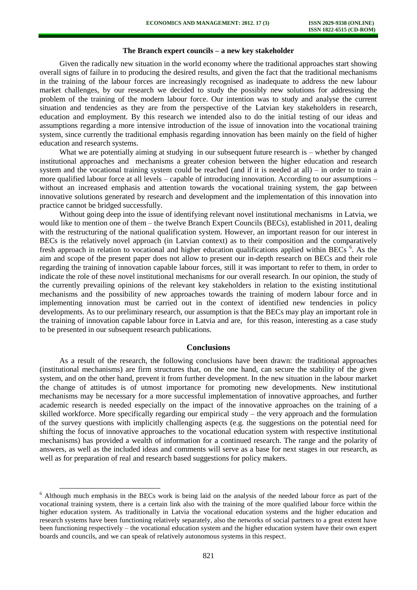#### **The Branch expert councils – a new key stakeholder**

Given the radically new situation in the world economy where the traditional approaches start showing overall signs of failure in to producing the desired results, and given the fact that the traditional mechanisms in the training of the labour forces are increasingly recognised as inadequate to address the new labour market challenges, by our research we decided to study the possibly new solutions for addressing the problem of the training of the modern labour force. Our intention was to study and analyse the current situation and tendencies as they are from the perspective of the Latvian key stakeholders in research, education and employment. By this research we intended also to do the initial testing of our ideas and assumptions regarding a more intensive introduction of the issue of innovation into the vocational training system, since currently the traditional emphasis regarding innovation has been mainly on the field of higher education and research systems.

What we are potentially aiming at studying in our subsequent future research is – whether by changed institutional approaches and mechanisms a greater cohesion between the higher education and research system and the vocational training system could be reached (and if it is needed at all) – in order to train a more qualified labour force at all levels – capable of introducing innovation. According to our assumptions – without an increased emphasis and attention towards the vocational training system, the gap between innovative solutions generated by research and development and the implementation of this innovation into practice cannot be bridged successfully.

Without going deep into the issue of identifying relevant novel institutional mechanisms in Latvia, we would like to mention one of them – the twelve Branch Expert Councils (BECs), established in 2011, dealing with the restructuring of the national qualification system. However, an important reason for our interest in BECs is the relatively novel approach (in Latvian context) as to their composition and the comparatively fresh approach in relation to vocational and higher education qualifications applied within BECs<sup>6</sup>. As the aim and scope of the present paper does not allow to present our in-depth research on BECs and their role regarding the training of innovation capable labour forces, still it was important to refer to them, in order to indicate the role of these novel institutional mechanisms for our overall research. In our opinion, the study of the currently prevailing opinions of the relevant key stakeholders in relation to the existing institutional mechanisms and the possibility of new approaches towards the training of modern labour force and in implementing innovation must be carried out in the context of identified new tendencies in policy developments. As to our preliminary research, our assumption is that the BECs may play an important role in the training of innovation capable labour force in Latvia and are, for this reason, interesting as a case study to be presented in our subsequent research publications.

#### **Conclusions**

As a result of the research, the following conclusions have been drawn: the traditional approaches (institutional mechanisms) are firm structures that, on the one hand, can secure the stability of the given system, and on the other hand, prevent it from further development. In the new situation in the labour market the change of attitudes is of utmost importance for promoting new developments. New institutional mechanisms may be necessary for a more successful implementation of innovative approaches, and further academic research is needed especially on the impact of the innovative approaches on the training of a skilled workforce. More specifically regarding our empirical study – the very approach and the formulation of the survey questions with implicitly challenging aspects (e.g. the suggestions on the potential need for shifting the focus of innovative approaches to the vocational education system with respective institutional mechanisms) has provided a wealth of information for a continued research. The range and the polarity of answers, as well as the included ideas and comments will serve as a base for next stages in our research, as well as for preparation of real and research based suggestions for policy makers.

l

<sup>&</sup>lt;sup>6</sup> Although much emphasis in the BECs work is being laid on the analysis of the needed labour force as part of the vocational training system, there is a certain link also with the training of the more qualified labour force within the higher education system. As traditionally in Latvia the vocational education systems and the higher education and research systems have been functioning relatively separately, also the networks of social partners to a great extent have been functioning respectively – the vocational education system and the higher education system have their own expert boards and councils, and we can speak of relatively autonomous systems in this respect.